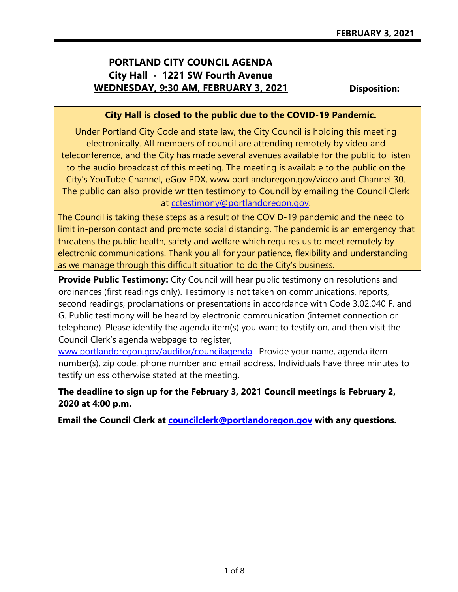# **PORTLAND CITY COUNCIL AGENDA City Hall - 1221 SW Fourth Avenue WEDNESDAY, 9:30 AM, FEBRUARY 3, 2021**

**Disposition:**

#### **City Hall is closed to the public due to the COVID-19 Pandemic.**

Under Portland City Code and state law, the City Council is holding this meeting electronically. All members of council are attending remotely by video and teleconference, and the City has made several avenues available for the public to listen to the audio broadcast of this meeting. The meeting is available to the public on the City's YouTube Channel, eGov PDX, www.portlandoregon.gov/video and Channel 30. The public can also provide written testimony to Council by emailing the Council Clerk at [cctestimony@portlandoregon.gov.](mailto:cctestimony@portlandoregon.gov)

The Council is taking these steps as a result of the COVID-19 pandemic and the need to limit in-person contact and promote social distancing. The pandemic is an emergency that threatens the public health, safety and welfare which requires us to meet remotely by electronic communications. Thank you all for your patience, flexibility and understanding as we manage through this difficult situation to do the City's business.

**Provide Public Testimony:** City Council will hear public testimony on resolutions and ordinances (first readings only). Testimony is not taken on communications, reports, second readings, proclamations or presentations in accordance with Code 3.02.040 F. and G. Public testimony will be heard by electronic communication (internet connection or telephone). Please identify the agenda item(s) you want to testify on, and then visit the Council Clerk's agenda webpage to register,

[www.portlandoregon.gov/auditor/councilagenda.](http://www.portlandoregon.gov/auditor/councilagenda) Provide your name, agenda item number(s), zip code, phone number and email address. Individuals have three minutes to testify unless otherwise stated at the meeting.

## **The deadline to sign up for the February 3, 2021 Council meetings is February 2, 2020 at 4:00 p.m.**

**Email the Council Clerk at [councilclerk@portlandoregon.gov](mailto:councilclerk@portlandoregon.gov) with any questions.**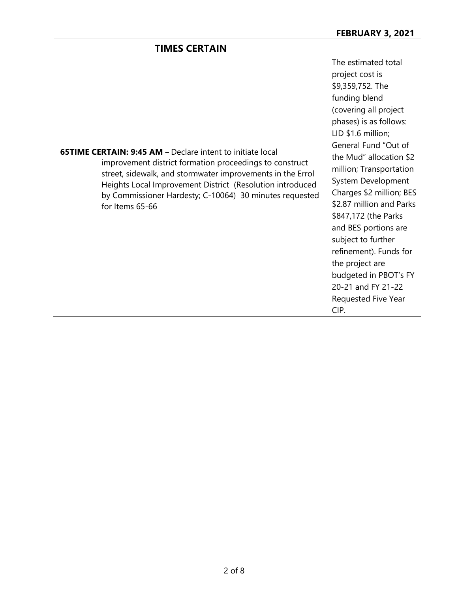### **TIMES CERTAIN**

The estimated total project cost is \$9,359,752. The funding blend (covering all project phases) is as follows: LID \$1.6 million; General Fund "Out of the Mud" allocation \$2 million; Transportation System Development Charges \$2 million; BES \$2.87 million and Parks \$847,172 (the Parks and BES portions are subject to further refinement). Funds for the project are budgeted in PBOT's FY 20-21 and FY 21-22 Requested Five Year CIP.

**65TIME CERTAIN: 9:45 AM –** Declare intent to initiate local improvement district formation proceedings to construct street, sidewalk, and stormwater improvements in the Errol Heights Local Improvement District (Resolution introduced by Commissioner Hardesty; C-10064) 30 minutes requested for Items 65-66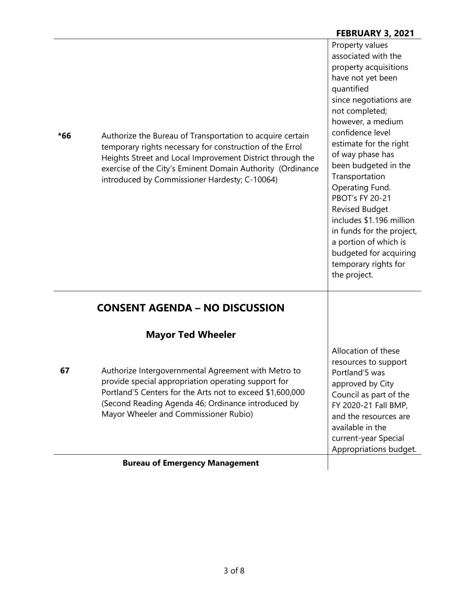| $*66$ | Authorize the Bureau of Transportation to acquire certain<br>temporary rights necessary for construction of the Errol<br>Heights Street and Local Improvement District through the<br>exercise of the City's Eminent Domain Authority (Ordinance<br>introduced by Commissioner Hardesty; C-10064) | Property values<br>associated with the<br>property acquisitions<br>have not yet been<br>quantified<br>since negotiations are<br>not completed;<br>however, a medium<br>confidence level<br>estimate for the right<br>of way phase has<br>been budgeted in the<br>Transportation<br>Operating Fund.<br><b>PBOT's FY 20-21</b><br><b>Revised Budget</b><br>includes \$1.196 million<br>in funds for the project,<br>a portion of which is<br>budgeted for acquiring<br>temporary rights for<br>the project. |
|-------|---------------------------------------------------------------------------------------------------------------------------------------------------------------------------------------------------------------------------------------------------------------------------------------------------|-----------------------------------------------------------------------------------------------------------------------------------------------------------------------------------------------------------------------------------------------------------------------------------------------------------------------------------------------------------------------------------------------------------------------------------------------------------------------------------------------------------|
|       | <b>CONSENT AGENDA - NO DISCUSSION</b>                                                                                                                                                                                                                                                             |                                                                                                                                                                                                                                                                                                                                                                                                                                                                                                           |
|       | <b>Mayor Ted Wheeler</b>                                                                                                                                                                                                                                                                          |                                                                                                                                                                                                                                                                                                                                                                                                                                                                                                           |
| 67    | Authorize Intergovernmental Agreement with Metro to<br>provide special appropriation operating support for<br>Portland'5 Centers for the Arts not to exceed \$1,600,000<br>(Second Reading Agenda 46; Ordinance introduced by<br>Mayor Wheeler and Commissioner Rubio)                            | Allocation of these<br>resources to support<br>Portland'5 was<br>approved by City<br>Council as part of the<br>FY 2020-21 Fall BMP,<br>and the resources are<br>available in the<br>current-year Special<br>Appropriations budget.                                                                                                                                                                                                                                                                        |
|       | <b>Bureau of Emergency Management</b>                                                                                                                                                                                                                                                             |                                                                                                                                                                                                                                                                                                                                                                                                                                                                                                           |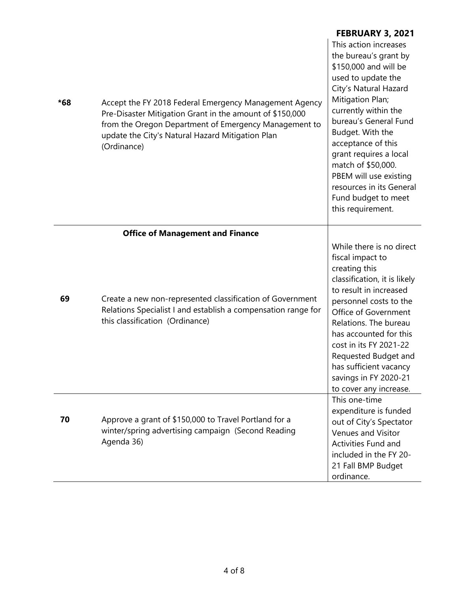| *68 | Accept the FY 2018 Federal Emergency Management Agency<br>Pre-Disaster Mitigation Grant in the amount of \$150,000<br>from the Oregon Department of Emergency Management to<br>update the City's Natural Hazard Mitigation Plan<br>(Ordinance) | <b>FEBRUARY 3, 2021</b><br>This action increases<br>the bureau's grant by<br>\$150,000 and will be<br>used to update the<br>City's Natural Hazard<br>Mitigation Plan;<br>currently within the<br>bureau's General Fund<br>Budget. With the                                                                                                                  |
|-----|------------------------------------------------------------------------------------------------------------------------------------------------------------------------------------------------------------------------------------------------|-------------------------------------------------------------------------------------------------------------------------------------------------------------------------------------------------------------------------------------------------------------------------------------------------------------------------------------------------------------|
|     |                                                                                                                                                                                                                                                | acceptance of this<br>grant requires a local<br>match of \$50,000.<br>PBEM will use existing<br>resources in its General<br>Fund budget to meet<br>this requirement.                                                                                                                                                                                        |
|     | <b>Office of Management and Finance</b>                                                                                                                                                                                                        |                                                                                                                                                                                                                                                                                                                                                             |
| 69  | Create a new non-represented classification of Government<br>Relations Specialist I and establish a compensation range for<br>this classification (Ordinance)                                                                                  | While there is no direct<br>fiscal impact to<br>creating this<br>classification, it is likely<br>to result in increased<br>personnel costs to the<br>Office of Government<br>Relations. The bureau<br>has accounted for this<br>cost in its FY 2021-22<br>Requested Budget and<br>has sufficient vacancy<br>savings in FY 2020-21<br>to cover any increase. |
| 70  | Approve a grant of \$150,000 to Travel Portland for a<br>winter/spring advertising campaign (Second Reading<br>Agenda 36)                                                                                                                      | This one-time<br>expenditure is funded<br>out of City's Spectator<br>Venues and Visitor<br>Activities Fund and<br>included in the FY 20-<br>21 Fall BMP Budget<br>ordinance.                                                                                                                                                                                |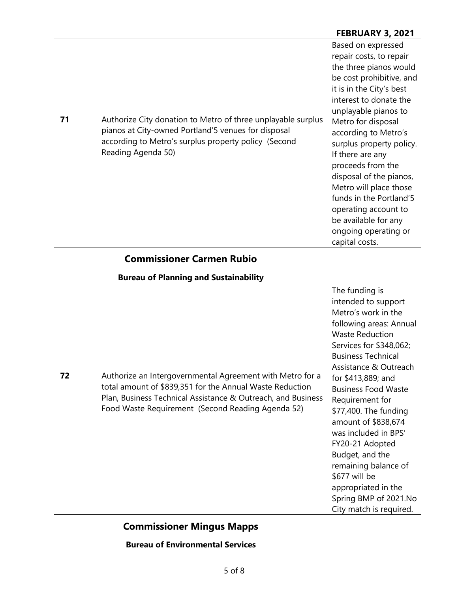#### **FEBRUARY 3, 2021**

| 71 | Authorize City donation to Metro of three unplayable surplus<br>pianos at City-owned Portland'5 venues for disposal<br>according to Metro's surplus property policy (Second<br>Reading Agenda 50)                                          | Based on expressed<br>repair costs, to repair<br>the three pianos would<br>be cost prohibitive, and<br>it is in the City's best<br>interest to donate the<br>unplayable pianos to<br>Metro for disposal<br>according to Metro's<br>surplus property policy.<br>If there are any<br>proceeds from the<br>disposal of the pianos,<br>Metro will place those<br>funds in the Portland'5<br>operating account to<br>be available for any<br>ongoing operating or<br>capital costs.                              |
|----|--------------------------------------------------------------------------------------------------------------------------------------------------------------------------------------------------------------------------------------------|-------------------------------------------------------------------------------------------------------------------------------------------------------------------------------------------------------------------------------------------------------------------------------------------------------------------------------------------------------------------------------------------------------------------------------------------------------------------------------------------------------------|
|    | <b>Commissioner Carmen Rubio</b>                                                                                                                                                                                                           |                                                                                                                                                                                                                                                                                                                                                                                                                                                                                                             |
|    | <b>Bureau of Planning and Sustainability</b>                                                                                                                                                                                               |                                                                                                                                                                                                                                                                                                                                                                                                                                                                                                             |
| 72 | Authorize an Intergovernmental Agreement with Metro for a<br>total amount of \$839,351 for the Annual Waste Reduction<br>Plan, Business Technical Assistance & Outreach, and Business<br>Food Waste Requirement (Second Reading Agenda 52) | The funding is<br>intended to support<br>Metro's work in the<br>following areas: Annual<br><b>Waste Reduction</b><br>Services for \$348,062;<br><b>Business Technical</b><br>Assistance & Outreach<br>for \$413,889; and<br><b>Business Food Waste</b><br>Requirement for<br>\$77,400. The funding<br>amount of \$838,674<br>was included in BPS'<br>FY20-21 Adopted<br>Budget, and the<br>remaining balance of<br>\$677 will be<br>appropriated in the<br>Spring BMP of 2021.No<br>City match is required. |
|    | <b>Commissioner Mingus Mapps</b>                                                                                                                                                                                                           |                                                                                                                                                                                                                                                                                                                                                                                                                                                                                                             |
|    | <b>Bureau of Environmental Services</b>                                                                                                                                                                                                    |                                                                                                                                                                                                                                                                                                                                                                                                                                                                                                             |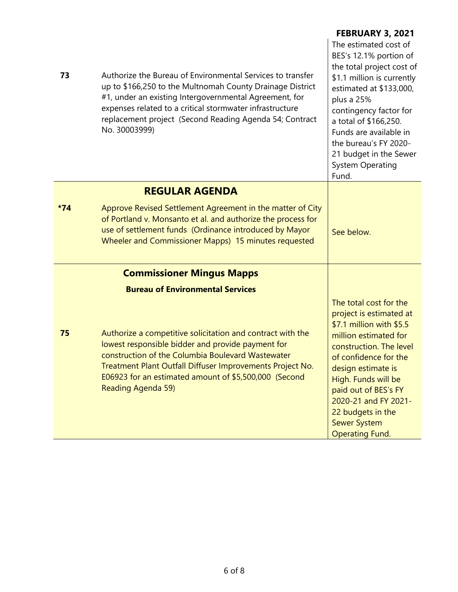| 73    | Authorize the Bureau of Environmental Services to transfer<br>up to \$166,250 to the Multnomah County Drainage District<br>#1, under an existing Intergovernmental Agreement, for<br>expenses related to a critical stormwater infrastructure<br>replacement project (Second Reading Agenda 54; Contract<br>No. 30003999)                                          | <b>FEBRUARY 3, 2021</b><br>The estimated cost of<br>BES's 12.1% portion of<br>the total project cost of<br>\$1.1 million is currently<br>estimated at \$133,000,<br>plus a 25%<br>contingency factor for<br>a total of \$166,250.<br>Funds are available in<br>the bureau's FY 2020-<br>21 budget in the Sewer<br><b>System Operating</b> |
|-------|--------------------------------------------------------------------------------------------------------------------------------------------------------------------------------------------------------------------------------------------------------------------------------------------------------------------------------------------------------------------|-------------------------------------------------------------------------------------------------------------------------------------------------------------------------------------------------------------------------------------------------------------------------------------------------------------------------------------------|
|       |                                                                                                                                                                                                                                                                                                                                                                    | Fund.                                                                                                                                                                                                                                                                                                                                     |
| $*74$ | <b>REGULAR AGENDA</b><br>Approve Revised Settlement Agreement in the matter of City<br>of Portland v. Monsanto et al. and authorize the process for<br>use of settlement funds (Ordinance introduced by Mayor<br>Wheeler and Commissioner Mapps) 15 minutes requested                                                                                              | See below.                                                                                                                                                                                                                                                                                                                                |
|       | <b>Commissioner Mingus Mapps</b>                                                                                                                                                                                                                                                                                                                                   |                                                                                                                                                                                                                                                                                                                                           |
| 75    | <b>Bureau of Environmental Services</b><br>Authorize a competitive solicitation and contract with the<br>lowest responsible bidder and provide payment for<br>construction of the Columbia Boulevard Wastewater<br>Treatment Plant Outfall Diffuser Improvements Project No.<br>E06923 for an estimated amount of \$5,500,000 (Second<br><b>Reading Agenda 59)</b> | The total cost for the<br>project is estimated at<br>\$7.1 million with \$5.5<br>million estimated for<br>construction. The level<br>of confidence for the<br>design estimate is<br>High. Funds will be<br>paid out of BES's FY<br>2020-21 and FY 2021-<br>22 budgets in the<br><b>Sewer System</b><br><b>Operating Fund.</b>             |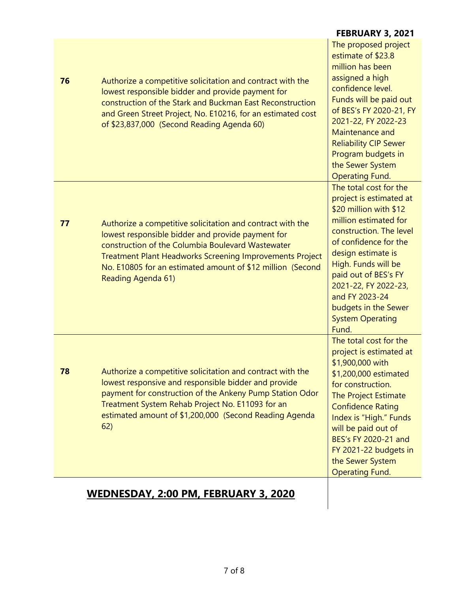|    |                                                                                                                                                                                                                                                                                                                             | <b>FEBRUARY 3, 2021</b>                                                                                                                                                                                                                                                                                                             |
|----|-----------------------------------------------------------------------------------------------------------------------------------------------------------------------------------------------------------------------------------------------------------------------------------------------------------------------------|-------------------------------------------------------------------------------------------------------------------------------------------------------------------------------------------------------------------------------------------------------------------------------------------------------------------------------------|
| 76 | Authorize a competitive solicitation and contract with the<br>lowest responsible bidder and provide payment for<br>construction of the Stark and Buckman East Reconstruction<br>and Green Street Project, No. E10216, for an estimated cost<br>of \$23,837,000 (Second Reading Agenda 60)                                   | The proposed project<br>estimate of \$23.8<br>million has been<br>assigned a high<br>confidence level.<br>Funds will be paid out<br>of BES's FY 2020-21, FY<br>2021-22, FY 2022-23<br>Maintenance and<br><b>Reliability CIP Sewer</b><br>Program budgets in<br>the Sewer System<br><b>Operating Fund.</b>                           |
| 77 | Authorize a competitive solicitation and contract with the<br>lowest responsible bidder and provide payment for<br>construction of the Columbia Boulevard Wastewater<br><b>Treatment Plant Headworks Screening Improvements Project</b><br>No. E10805 for an estimated amount of \$12 million (Second<br>Reading Agenda 61) | The total cost for the<br>project is estimated at<br>\$20 million with \$12<br>million estimated for<br>construction. The level<br>of confidence for the<br>design estimate is<br>High. Funds will be<br>paid out of BES's FY<br>2021-22, FY 2022-23,<br>and FY 2023-24<br>budgets in the Sewer<br><b>System Operating</b><br>Fund. |
| 78 | Authorize a competitive solicitation and contract with the<br>lowest responsive and responsible bidder and provide<br>payment for construction of the Ankeny Pump Station Odor<br>Treatment System Rehab Project No. E11093 for an<br>estimated amount of \$1,200,000 (Second Reading Agenda<br>62)                         | The total cost for the<br>project is estimated at<br>\$1,900,000 with<br>\$1,200,000 estimated<br>for construction.<br>The Project Estimate<br><b>Confidence Rating</b><br>Index is "High." Funds<br>will be paid out of<br>BES's FY 2020-21 and<br>FY 2021-22 budgets in<br>the Sewer System<br><b>Operating Fund.</b>             |

# **WEDNESDAY, 2:00 PM, FEBRUARY 3, 2020**